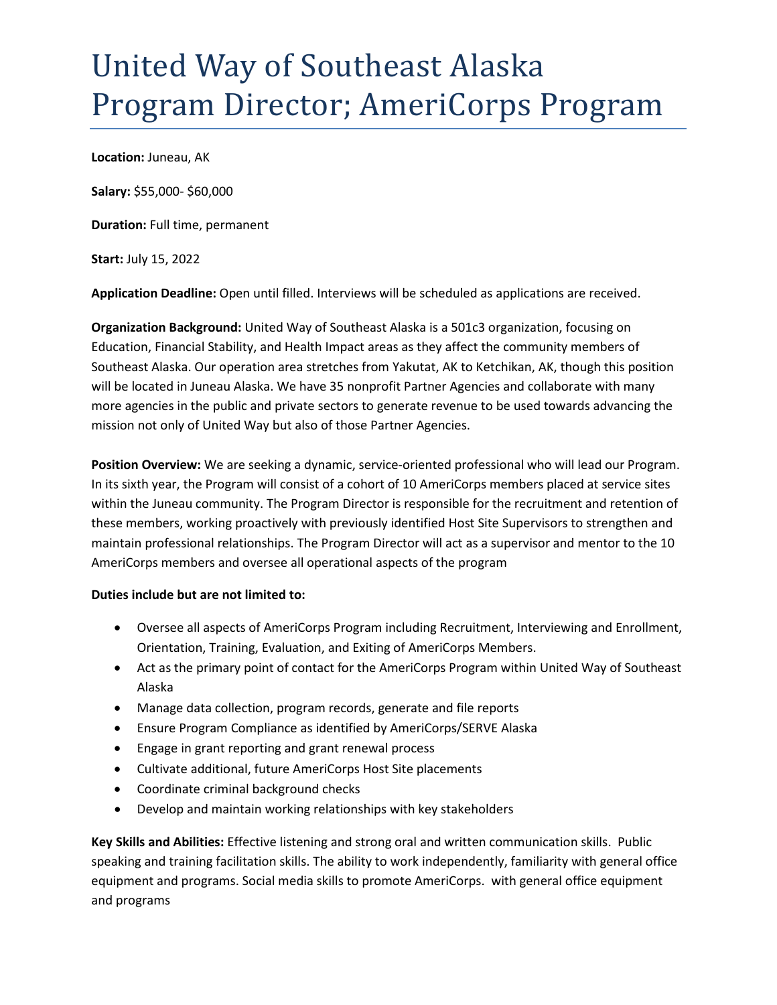## United Way of Southeast Alaska Program Director; AmeriCorps Program

**Location:** Juneau, AK

**Salary:** \$55,000- \$60,000

**Duration:** Full time, permanent

**Start:** July 15, 2022

**Application Deadline:** Open until filled. Interviews will be scheduled as applications are received.

**Organization Background:** United Way of Southeast Alaska is a 501c3 organization, focusing on Education, Financial Stability, and Health Impact areas as they affect the community members of Southeast Alaska. Our operation area stretches from Yakutat, AK to Ketchikan, AK, though this position will be located in Juneau Alaska. We have 35 nonprofit Partner Agencies and collaborate with many more agencies in the public and private sectors to generate revenue to be used towards advancing the mission not only of United Way but also of those Partner Agencies.

**Position Overview:** We are seeking a dynamic, service-oriented professional who will lead our Program. In its sixth year, the Program will consist of a cohort of 10 AmeriCorps members placed at service sites within the Juneau community. The Program Director is responsible for the recruitment and retention of these members, working proactively with previously identified Host Site Supervisors to strengthen and maintain professional relationships. The Program Director will act as a supervisor and mentor to the 10 AmeriCorps members and oversee all operational aspects of the program

## **Duties include but are not limited to:**

- Oversee all aspects of AmeriCorps Program including Recruitment, Interviewing and Enrollment, Orientation, Training, Evaluation, and Exiting of AmeriCorps Members.
- Act as the primary point of contact for the AmeriCorps Program within United Way of Southeast Alaska
- Manage data collection, program records, generate and file reports
- Ensure Program Compliance as identified by AmeriCorps/SERVE Alaska
- Engage in grant reporting and grant renewal process
- Cultivate additional, future AmeriCorps Host Site placements
- Coordinate criminal background checks
- Develop and maintain working relationships with key stakeholders

**Key Skills and Abilities:** Effective listening and strong oral and written communication skills. Public speaking and training facilitation skills. The ability to work independently, familiarity with general office equipment and programs. Social media skills to promote AmeriCorps. with general office equipment and programs